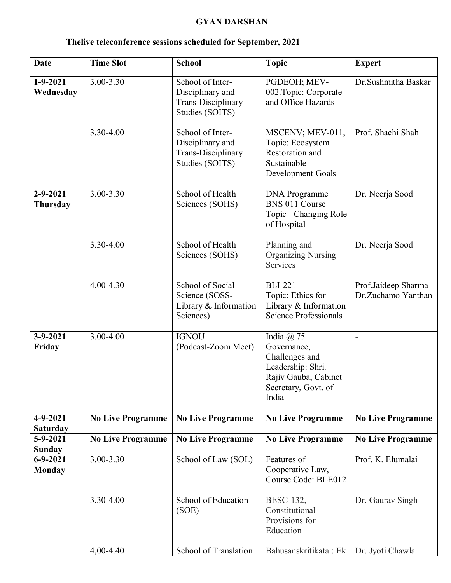## **GYAN DARSHAN**

| <b>Date</b>                       | <b>Time Slot</b>         | <b>School</b>                                                                        | <b>Topic</b>                                                                                                                 | <b>Expert</b>                             |
|-----------------------------------|--------------------------|--------------------------------------------------------------------------------------|------------------------------------------------------------------------------------------------------------------------------|-------------------------------------------|
| $1 - 9 - 2021$<br>Wednesday       | $3.00 - 3.30$            | School of Inter-<br>Disciplinary and<br><b>Trans-Disciplinary</b><br>Studies (SOITS) | PGDEOH; MEV-<br>002. Topic: Corporate<br>and Office Hazards                                                                  | Dr.Sushmitha Baskar                       |
|                                   | 3.30-4.00                | School of Inter-<br>Disciplinary and<br>Trans-Disciplinary<br>Studies (SOITS)        | MSCENV; MEV-011,<br>Topic: Ecosystem<br>Restoration and<br>Sustainable<br>Development Goals                                  | Prof. Shachi Shah                         |
| $2 - 9 - 2021$<br><b>Thursday</b> | 3.00-3.30                | School of Health<br>Sciences (SOHS)                                                  | <b>DNA</b> Programme<br>BNS 011 Course<br>Topic - Changing Role<br>of Hospital                                               | Dr. Neerja Sood                           |
|                                   | 3.30-4.00                | School of Health<br>Sciences (SOHS)                                                  | Planning and<br><b>Organizing Nursing</b><br>Services                                                                        | Dr. Neerja Sood                           |
|                                   | 4.00-4.30                | School of Social<br>Science (SOSS-<br>Library $&$ Information<br>Sciences)           | <b>BLI-221</b><br>Topic: Ethics for<br>Library & Information<br><b>Science Professionals</b>                                 | Prof.Jaideep Sharma<br>Dr.Zuchamo Yanthan |
| $3 - 9 - 2021$<br>Friday          | 3.00-4.00                | <b>IGNOU</b><br>(Podcast-Zoom Meet)                                                  | India $(a)$ 75<br>Governance,<br>Challenges and<br>Leadership: Shri.<br>Rajiv Gauba, Cabinet<br>Secretary, Govt. of<br>India |                                           |
| $4 - 9 - 2021$<br><b>Saturday</b> | <b>No Live Programme</b> | <b>No Live Programme</b>                                                             | <b>No Live Programme</b>                                                                                                     | <b>No Live Programme</b>                  |
| $5 - 9 - 2021$<br>Sunday          | <b>No Live Programme</b> | <b>No Live Programme</b>                                                             | <b>No Live Programme</b>                                                                                                     | <b>No Live Programme</b>                  |
| $6 - 9 - 2021$<br><b>Monday</b>   | 3.00-3.30                | School of Law (SOL)                                                                  | Features of<br>Cooperative Law,<br>Course Code: BLE012                                                                       | Prof. K. Elumalai                         |
|                                   | 3.30-4.00                | School of Education<br>(SOE)                                                         | BESC-132,<br>Constitutional<br>Provisions for<br>Education                                                                   | Dr. Gaurav Singh                          |
|                                   | 4,00-4.40                | School of Translation                                                                | Bahusanskritikata: Ek                                                                                                        | Dr. Jyoti Chawla                          |

## **Thelive teleconference sessions scheduled for September, 2021**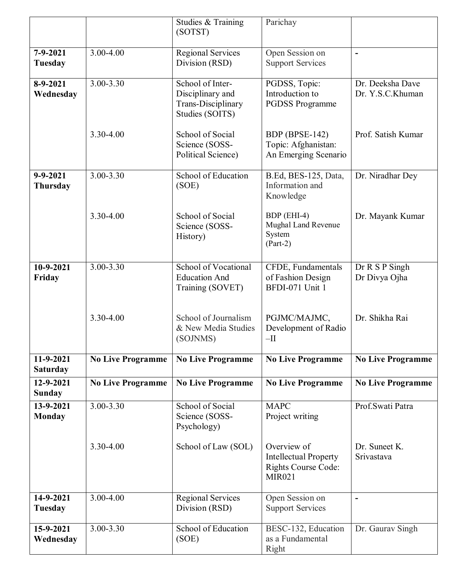|                              |                          | Studies & Training<br>(SOTST)                                                 | Parichay                                                                                   |                                      |
|------------------------------|--------------------------|-------------------------------------------------------------------------------|--------------------------------------------------------------------------------------------|--------------------------------------|
|                              |                          |                                                                               |                                                                                            |                                      |
| $7 - 9 - 2021$<br>Tuesday    | 3.00-4.00                | <b>Regional Services</b><br>Division (RSD)                                    | Open Session on<br><b>Support Services</b>                                                 | $\blacksquare$                       |
| $8-9-2021$<br>Wednesday      | 3.00-3.30                | School of Inter-<br>Disciplinary and<br>Trans-Disciplinary<br>Studies (SOITS) | PGDSS, Topic:<br>Introduction to<br><b>PGDSS Programme</b>                                 | Dr. Deeksha Dave<br>Dr. Y.S.C.Khuman |
|                              | 3.30-4.00                | School of Social<br>Science (SOSS-<br>Political Science)                      | BDP (BPSE-142)<br>Topic: Afghanistan:<br>An Emerging Scenario                              | Prof. Satish Kumar                   |
| $9 - 9 - 2021$<br>Thursday   | 3.00-3.30                | School of Education<br>(SOE)                                                  | B.Ed, BES-125, Data,<br>Information and<br>Knowledge                                       | Dr. Niradhar Dey                     |
|                              | 3.30-4.00                | School of Social<br>Science (SOSS-<br>History)                                | BDP (EHI-4)<br>Mughal Land Revenue<br>System<br>$(Part-2)$                                 | Dr. Mayank Kumar                     |
| 10-9-2021<br>Friday          | 3.00-3.30                | School of Vocational<br><b>Education And</b><br>Training (SOVET)              | CFDE, Fundamentals<br>of Fashion Design<br>BFDI-071 Unit 1                                 | Dr R S P Singh<br>Dr Divya Ojha      |
|                              | 3.30-4.00                | School of Journalism<br>& New Media Studies<br>(SOJNMS)                       | PGJMC/MAJMC,<br>Development of Radio<br>$-II$                                              | Dr. Shikha Rai                       |
| 11-9-2021<br><b>Saturday</b> | <b>No Live Programme</b> | <b>No Live Programme</b>                                                      | <b>No Live Programme</b>                                                                   | <b>No Live Programme</b>             |
| 12-9-2021<br><b>Sunday</b>   | <b>No Live Programme</b> | <b>No Live Programme</b>                                                      | <b>No Live Programme</b>                                                                   | <b>No Live Programme</b>             |
| 13-9-2021<br><b>Monday</b>   | 3.00-3.30                | School of Social<br>Science (SOSS-<br>Psychology)                             | <b>MAPC</b><br>Project writing                                                             | Prof.Swati Patra                     |
|                              | 3.30-4.00                | School of Law (SOL)                                                           | Overview of<br><b>Intellectual Property</b><br><b>Rights Course Code:</b><br><b>MIR021</b> | Dr. Suneet K.<br>Srivastava          |
| 14-9-2021<br>Tuesday         | 3.00-4.00                | <b>Regional Services</b><br>Division (RSD)                                    | Open Session on<br><b>Support Services</b>                                                 | $\blacksquare$                       |
| 15-9-2021<br>Wednesday       | 3.00-3.30                | School of Education<br>(SOE)                                                  | BESC-132, Education<br>as a Fundamental<br>Right                                           | Dr. Gaurav Singh                     |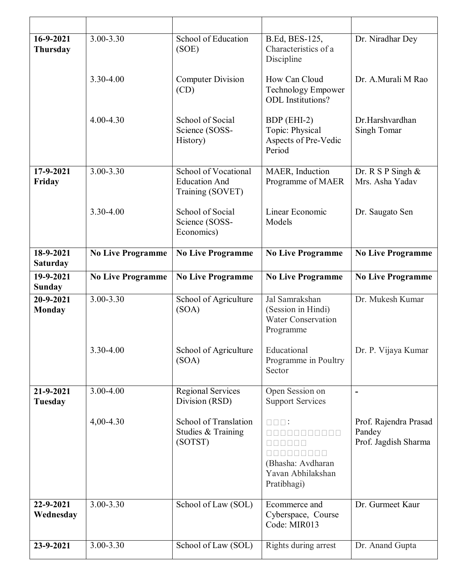| 16-9-2021<br>Thursday        | 3.00-3.30                | School of Education<br>(SOE)                                     | B.Ed, BES-125,<br>Characteristics of a<br>Discipline                                                                              | Dr. Niradhar Dey                                        |
|------------------------------|--------------------------|------------------------------------------------------------------|-----------------------------------------------------------------------------------------------------------------------------------|---------------------------------------------------------|
|                              | 3.30-4.00                | <b>Computer Division</b><br>(CD)                                 | How Can Cloud<br>Technology Empower<br><b>ODL</b> Institutions?                                                                   | Dr. A.Murali M Rao                                      |
|                              | $4.00 - 4.30$            | School of Social<br>Science (SOSS-<br>History)                   | BDP (EHI-2)<br>Topic: Physical<br>Aspects of Pre-Vedic<br>Period                                                                  | Dr.Harshvardhan<br>Singh Tomar                          |
| 17-9-2021<br>Friday          | 3.00-3.30                | School of Vocational<br><b>Education And</b><br>Training (SOVET) | MAER, Induction<br>Programme of MAER                                                                                              | Dr. R S P Singh $\&$<br>Mrs. Asha Yadav                 |
|                              | 3.30-4.00                | School of Social<br>Science (SOSS-<br>Economics)                 | Linear Economic<br>Models                                                                                                         | Dr. Saugato Sen                                         |
| 18-9-2021<br><b>Saturday</b> | <b>No Live Programme</b> | <b>No Live Programme</b>                                         | <b>No Live Programme</b>                                                                                                          | <b>No Live Programme</b>                                |
| 19-9-2021<br>Sunday          | <b>No Live Programme</b> | <b>No Live Programme</b>                                         | <b>No Live Programme</b>                                                                                                          | <b>No Live Programme</b>                                |
|                              |                          |                                                                  |                                                                                                                                   |                                                         |
| 20-9-2021<br><b>Monday</b>   | $3.00 - 3.30$            | School of Agriculture<br>(SOA)                                   | Jal Samrakshan<br>(Session in Hindi)<br><b>Water Conservation</b><br>Programme                                                    | Dr. Mukesh Kumar                                        |
|                              | 3.30-4.00                | School of Agriculture<br>(SOA)                                   | Educational<br>Programme in Poultry<br>Sector                                                                                     | Dr. P. Vijaya Kumar                                     |
| 21-9-2021<br>Tuesday         | 3.00-4.00                | <b>Regional Services</b><br>Division (RSD)                       | Open Session on<br><b>Support Services</b>                                                                                        |                                                         |
|                              | 4,00-4.30                | <b>School of Translation</b><br>Studies & Training<br>(SOTST)    | $\square \square \square$ :<br><u>is is is is is is is </u><br>000000000<br>(Bhasha: Avdharan<br>Yavan Abhilakshan<br>Pratibhagi) | Prof. Rajendra Prasad<br>Pandey<br>Prof. Jagdish Sharma |
| 22-9-2021<br>Wednesday       | 3.00-3.30                | School of Law (SOL)                                              | Ecommerce and<br>Cyberspace, Course<br>Code: MIR013                                                                               | Dr. Gurmeet Kaur                                        |